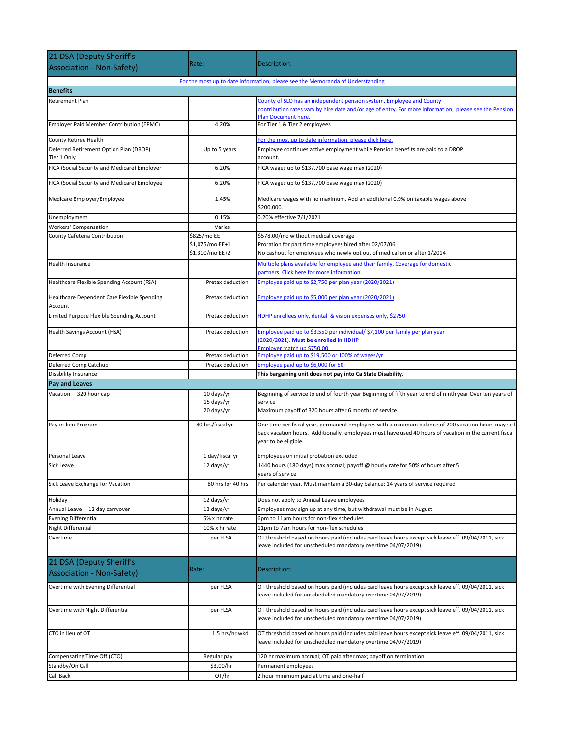| For the most up to date information, please see the Memoranda of Understanding<br>County of SLO has an independent pension system. Employee and County<br>contribution rates vary by hire date and/or age of entry. For more information, please see the Pension<br><b>Plan Document here</b><br>4.20%<br>Employer Paid Member Contribution (EPMC)<br>For Tier 1 & Tier 2 employees<br>For the most up to date information, please click here.<br>Up to 5 years<br>Employee continues active employment while Pension benefits are paid to a DROP<br>Tier 1 Only<br>account.<br>6.20%<br>FICA (Social Security and Medicare) Employer<br>FICA wages up to \$137,700 base wage max (2020)<br>6.20%<br>FICA wages up to \$137,700 base wage max (2020)<br>Medicare wages with no maximum. Add an additional 0.9% on taxable wages above<br>1.45%<br>\$200,000.<br>0.20% effective 7/1/2021<br>0.15%<br>Varies<br>\$825/mo EE<br>\$578.00/mo without medical coverage<br>\$1,075/mo EE+1<br>Proration for part time employees hired after 02/07/06<br>\$1,310/mo EE+2<br>No cashout for employees who newly opt out of medical on or after 1/2014<br>Multiple plans available for employee and their family. Coverage for domestic<br>partners. Click here for more information.<br>Employee paid up to \$2,750 per plan year (2020/2021)<br>Pretax deduction<br>Employee paid up to \$5,000 per plan year (2020/2021)<br>Pretax deduction<br>HDHP enrollees only, dental & vision expenses only, \$2750<br>Pretax deduction<br>Employee paid up to \$3,550 per individual/ \$7,100 per family per plan year<br>Pretax deduction<br>(2020/2021). Must be enrolled in HDHP<br>Employer match up \$750.00<br>Employee paid up to \$19,500 or 100% of wages/yr<br>Deferred Comp<br>Pretax deduction<br>Employee paid up to \$6,000 for 50+<br>Deferred Comp Catchup<br>Pretax deduction<br>Disability Insurance<br>This bargaining unit does not pay into Ca State Disability.<br><b>Pay and Leaves</b><br>Vacation 320 hour cap<br>Beginning of service to end of fourth year Beginning of fifth year to end of ninth year Over ten years of<br>10 days/yr<br>15 days/yr<br>service<br>20 days/yr<br>Maximum payoff of 320 hours after 6 months of service<br>40 hrs/fiscal yr<br>One time per fiscal year, permanent employees with a minimum balance of 200 vacation hours may sell<br>back vacation hours. Additionally, employees must have used 40 hours of vacation in the current fiscal<br>year to be eligible.<br>Personal Leave<br>1 day/fiscal yr<br>Employees on initial probation excluded<br>12 days/yr<br>1440 hours (180 days) max accrual; payoff @ hourly rate for 50% of hours after 5<br>years of service<br>80 hrs for 40 hrs<br>Per calendar year. Must maintain a 30-day balance; 14 years of service required<br>12 days/yr<br>Does not apply to Annual Leave employees<br>Annual Leave 12 day carryover<br>12 days/yr<br>Employees may sign up at any time, but withdrawal must be in August<br><b>Evening Differential</b><br>5% x hr rate<br>6pm to 11pm hours for non-flex schedules<br><b>Night Differential</b><br>11pm to 7am hours for non-flex schedules<br>10% x hr rate<br>OT threshold based on hours paid (includes paid leave hours except sick leave eff. 09/04/2011, sick<br>Overtime<br>per FLSA<br>leave included for unscheduled mandatory overtime 04/07/2019)<br>21 DSA (Deputy Sheriff's<br>Rate:<br>Description:<br>OT threshold based on hours paid (includes paid leave hours except sick leave eff. 09/04/2011, sick<br>per FLSA<br>leave included for unscheduled mandatory overtime 04/07/2019)<br>per FLSA<br>OT threshold based on hours paid (includes paid leave hours except sick leave eff. 09/04/2011, sick<br>leave included for unscheduled mandatory overtime 04/07/2019)<br>1.5 hrs/hr wkd<br>OT threshold based on hours paid (includes paid leave hours except sick leave eff. 09/04/2011, sick<br>leave included for unscheduled mandatory overtime 04/07/2019)<br>Regular pay<br>120 hr maximum accrual; OT paid after max; payoff on termination<br>\$3.00/hr<br>Permanent employees<br>OT/hr<br>2 hour minimum paid at time and one-half | 21 DSA (Deputy Sheriff's                               |       |              |
|----------------------------------------------------------------------------------------------------------------------------------------------------------------------------------------------------------------------------------------------------------------------------------------------------------------------------------------------------------------------------------------------------------------------------------------------------------------------------------------------------------------------------------------------------------------------------------------------------------------------------------------------------------------------------------------------------------------------------------------------------------------------------------------------------------------------------------------------------------------------------------------------------------------------------------------------------------------------------------------------------------------------------------------------------------------------------------------------------------------------------------------------------------------------------------------------------------------------------------------------------------------------------------------------------------------------------------------------------------------------------------------------------------------------------------------------------------------------------------------------------------------------------------------------------------------------------------------------------------------------------------------------------------------------------------------------------------------------------------------------------------------------------------------------------------------------------------------------------------------------------------------------------------------------------------------------------------------------------------------------------------------------------------------------------------------------------------------------------------------------------------------------------------------------------------------------------------------------------------------------------------------------------------------------------------------------------------------------------------------------------------------------------------------------------------------------------------------------------------------------------------------------------------------------------------------------------------------------------------------------------------------------------------------------------------------------------------------------------------------------------------------------------------------------------------------------------------------------------------------------------------------------------------------------------------------------------------------------------------------------------------------------------------------------------------------------------------------------------------------------------------------------------------------------------------------------------------------------------------------------------------------------------------------------------------------------------------------------------------------------------------------------------------------------------------------------------------------------------------------------------------------------------------------------------------------------------------------------------------------------------------------------------------------------------------------------------------------------------------------------------------------------------------------------------------------------------------------------------------------------------------------------------------------------------------------------------------------------------------------------------------------------------------------------------------------------------------------------------------------------------------------------------------------------------------------------------------|--------------------------------------------------------|-------|--------------|
|                                                                                                                                                                                                                                                                                                                                                                                                                                                                                                                                                                                                                                                                                                                                                                                                                                                                                                                                                                                                                                                                                                                                                                                                                                                                                                                                                                                                                                                                                                                                                                                                                                                                                                                                                                                                                                                                                                                                                                                                                                                                                                                                                                                                                                                                                                                                                                                                                                                                                                                                                                                                                                                                                                                                                                                                                                                                                                                                                                                                                                                                                                                                                                                                                                                                                                                                                                                                                                                                                                                                                                                                                                                                                                                                                                                                                                                                                                                                                                                                                                                                                                                                                                                                          | <b>Association - Non-Safety)</b>                       | Rate: | Description: |
|                                                                                                                                                                                                                                                                                                                                                                                                                                                                                                                                                                                                                                                                                                                                                                                                                                                                                                                                                                                                                                                                                                                                                                                                                                                                                                                                                                                                                                                                                                                                                                                                                                                                                                                                                                                                                                                                                                                                                                                                                                                                                                                                                                                                                                                                                                                                                                                                                                                                                                                                                                                                                                                                                                                                                                                                                                                                                                                                                                                                                                                                                                                                                                                                                                                                                                                                                                                                                                                                                                                                                                                                                                                                                                                                                                                                                                                                                                                                                                                                                                                                                                                                                                                                          |                                                        |       |              |
|                                                                                                                                                                                                                                                                                                                                                                                                                                                                                                                                                                                                                                                                                                                                                                                                                                                                                                                                                                                                                                                                                                                                                                                                                                                                                                                                                                                                                                                                                                                                                                                                                                                                                                                                                                                                                                                                                                                                                                                                                                                                                                                                                                                                                                                                                                                                                                                                                                                                                                                                                                                                                                                                                                                                                                                                                                                                                                                                                                                                                                                                                                                                                                                                                                                                                                                                                                                                                                                                                                                                                                                                                                                                                                                                                                                                                                                                                                                                                                                                                                                                                                                                                                                                          | <b>Benefits</b>                                        |       |              |
|                                                                                                                                                                                                                                                                                                                                                                                                                                                                                                                                                                                                                                                                                                                                                                                                                                                                                                                                                                                                                                                                                                                                                                                                                                                                                                                                                                                                                                                                                                                                                                                                                                                                                                                                                                                                                                                                                                                                                                                                                                                                                                                                                                                                                                                                                                                                                                                                                                                                                                                                                                                                                                                                                                                                                                                                                                                                                                                                                                                                                                                                                                                                                                                                                                                                                                                                                                                                                                                                                                                                                                                                                                                                                                                                                                                                                                                                                                                                                                                                                                                                                                                                                                                                          | <b>Retirement Plan</b>                                 |       |              |
|                                                                                                                                                                                                                                                                                                                                                                                                                                                                                                                                                                                                                                                                                                                                                                                                                                                                                                                                                                                                                                                                                                                                                                                                                                                                                                                                                                                                                                                                                                                                                                                                                                                                                                                                                                                                                                                                                                                                                                                                                                                                                                                                                                                                                                                                                                                                                                                                                                                                                                                                                                                                                                                                                                                                                                                                                                                                                                                                                                                                                                                                                                                                                                                                                                                                                                                                                                                                                                                                                                                                                                                                                                                                                                                                                                                                                                                                                                                                                                                                                                                                                                                                                                                                          |                                                        |       |              |
|                                                                                                                                                                                                                                                                                                                                                                                                                                                                                                                                                                                                                                                                                                                                                                                                                                                                                                                                                                                                                                                                                                                                                                                                                                                                                                                                                                                                                                                                                                                                                                                                                                                                                                                                                                                                                                                                                                                                                                                                                                                                                                                                                                                                                                                                                                                                                                                                                                                                                                                                                                                                                                                                                                                                                                                                                                                                                                                                                                                                                                                                                                                                                                                                                                                                                                                                                                                                                                                                                                                                                                                                                                                                                                                                                                                                                                                                                                                                                                                                                                                                                                                                                                                                          |                                                        |       |              |
|                                                                                                                                                                                                                                                                                                                                                                                                                                                                                                                                                                                                                                                                                                                                                                                                                                                                                                                                                                                                                                                                                                                                                                                                                                                                                                                                                                                                                                                                                                                                                                                                                                                                                                                                                                                                                                                                                                                                                                                                                                                                                                                                                                                                                                                                                                                                                                                                                                                                                                                                                                                                                                                                                                                                                                                                                                                                                                                                                                                                                                                                                                                                                                                                                                                                                                                                                                                                                                                                                                                                                                                                                                                                                                                                                                                                                                                                                                                                                                                                                                                                                                                                                                                                          |                                                        |       |              |
|                                                                                                                                                                                                                                                                                                                                                                                                                                                                                                                                                                                                                                                                                                                                                                                                                                                                                                                                                                                                                                                                                                                                                                                                                                                                                                                                                                                                                                                                                                                                                                                                                                                                                                                                                                                                                                                                                                                                                                                                                                                                                                                                                                                                                                                                                                                                                                                                                                                                                                                                                                                                                                                                                                                                                                                                                                                                                                                                                                                                                                                                                                                                                                                                                                                                                                                                                                                                                                                                                                                                                                                                                                                                                                                                                                                                                                                                                                                                                                                                                                                                                                                                                                                                          | County Retiree Health                                  |       |              |
|                                                                                                                                                                                                                                                                                                                                                                                                                                                                                                                                                                                                                                                                                                                                                                                                                                                                                                                                                                                                                                                                                                                                                                                                                                                                                                                                                                                                                                                                                                                                                                                                                                                                                                                                                                                                                                                                                                                                                                                                                                                                                                                                                                                                                                                                                                                                                                                                                                                                                                                                                                                                                                                                                                                                                                                                                                                                                                                                                                                                                                                                                                                                                                                                                                                                                                                                                                                                                                                                                                                                                                                                                                                                                                                                                                                                                                                                                                                                                                                                                                                                                                                                                                                                          | Deferred Retirement Option Plan (DROP)                 |       |              |
|                                                                                                                                                                                                                                                                                                                                                                                                                                                                                                                                                                                                                                                                                                                                                                                                                                                                                                                                                                                                                                                                                                                                                                                                                                                                                                                                                                                                                                                                                                                                                                                                                                                                                                                                                                                                                                                                                                                                                                                                                                                                                                                                                                                                                                                                                                                                                                                                                                                                                                                                                                                                                                                                                                                                                                                                                                                                                                                                                                                                                                                                                                                                                                                                                                                                                                                                                                                                                                                                                                                                                                                                                                                                                                                                                                                                                                                                                                                                                                                                                                                                                                                                                                                                          |                                                        |       |              |
|                                                                                                                                                                                                                                                                                                                                                                                                                                                                                                                                                                                                                                                                                                                                                                                                                                                                                                                                                                                                                                                                                                                                                                                                                                                                                                                                                                                                                                                                                                                                                                                                                                                                                                                                                                                                                                                                                                                                                                                                                                                                                                                                                                                                                                                                                                                                                                                                                                                                                                                                                                                                                                                                                                                                                                                                                                                                                                                                                                                                                                                                                                                                                                                                                                                                                                                                                                                                                                                                                                                                                                                                                                                                                                                                                                                                                                                                                                                                                                                                                                                                                                                                                                                                          |                                                        |       |              |
|                                                                                                                                                                                                                                                                                                                                                                                                                                                                                                                                                                                                                                                                                                                                                                                                                                                                                                                                                                                                                                                                                                                                                                                                                                                                                                                                                                                                                                                                                                                                                                                                                                                                                                                                                                                                                                                                                                                                                                                                                                                                                                                                                                                                                                                                                                                                                                                                                                                                                                                                                                                                                                                                                                                                                                                                                                                                                                                                                                                                                                                                                                                                                                                                                                                                                                                                                                                                                                                                                                                                                                                                                                                                                                                                                                                                                                                                                                                                                                                                                                                                                                                                                                                                          | FICA (Social Security and Medicare) Employee           |       |              |
|                                                                                                                                                                                                                                                                                                                                                                                                                                                                                                                                                                                                                                                                                                                                                                                                                                                                                                                                                                                                                                                                                                                                                                                                                                                                                                                                                                                                                                                                                                                                                                                                                                                                                                                                                                                                                                                                                                                                                                                                                                                                                                                                                                                                                                                                                                                                                                                                                                                                                                                                                                                                                                                                                                                                                                                                                                                                                                                                                                                                                                                                                                                                                                                                                                                                                                                                                                                                                                                                                                                                                                                                                                                                                                                                                                                                                                                                                                                                                                                                                                                                                                                                                                                                          | Medicare Employer/Employee                             |       |              |
|                                                                                                                                                                                                                                                                                                                                                                                                                                                                                                                                                                                                                                                                                                                                                                                                                                                                                                                                                                                                                                                                                                                                                                                                                                                                                                                                                                                                                                                                                                                                                                                                                                                                                                                                                                                                                                                                                                                                                                                                                                                                                                                                                                                                                                                                                                                                                                                                                                                                                                                                                                                                                                                                                                                                                                                                                                                                                                                                                                                                                                                                                                                                                                                                                                                                                                                                                                                                                                                                                                                                                                                                                                                                                                                                                                                                                                                                                                                                                                                                                                                                                                                                                                                                          | Unemployment                                           |       |              |
|                                                                                                                                                                                                                                                                                                                                                                                                                                                                                                                                                                                                                                                                                                                                                                                                                                                                                                                                                                                                                                                                                                                                                                                                                                                                                                                                                                                                                                                                                                                                                                                                                                                                                                                                                                                                                                                                                                                                                                                                                                                                                                                                                                                                                                                                                                                                                                                                                                                                                                                                                                                                                                                                                                                                                                                                                                                                                                                                                                                                                                                                                                                                                                                                                                                                                                                                                                                                                                                                                                                                                                                                                                                                                                                                                                                                                                                                                                                                                                                                                                                                                                                                                                                                          | Workers' Compensation                                  |       |              |
|                                                                                                                                                                                                                                                                                                                                                                                                                                                                                                                                                                                                                                                                                                                                                                                                                                                                                                                                                                                                                                                                                                                                                                                                                                                                                                                                                                                                                                                                                                                                                                                                                                                                                                                                                                                                                                                                                                                                                                                                                                                                                                                                                                                                                                                                                                                                                                                                                                                                                                                                                                                                                                                                                                                                                                                                                                                                                                                                                                                                                                                                                                                                                                                                                                                                                                                                                                                                                                                                                                                                                                                                                                                                                                                                                                                                                                                                                                                                                                                                                                                                                                                                                                                                          | County Cafeteria Contribution                          |       |              |
|                                                                                                                                                                                                                                                                                                                                                                                                                                                                                                                                                                                                                                                                                                                                                                                                                                                                                                                                                                                                                                                                                                                                                                                                                                                                                                                                                                                                                                                                                                                                                                                                                                                                                                                                                                                                                                                                                                                                                                                                                                                                                                                                                                                                                                                                                                                                                                                                                                                                                                                                                                                                                                                                                                                                                                                                                                                                                                                                                                                                                                                                                                                                                                                                                                                                                                                                                                                                                                                                                                                                                                                                                                                                                                                                                                                                                                                                                                                                                                                                                                                                                                                                                                                                          |                                                        |       |              |
|                                                                                                                                                                                                                                                                                                                                                                                                                                                                                                                                                                                                                                                                                                                                                                                                                                                                                                                                                                                                                                                                                                                                                                                                                                                                                                                                                                                                                                                                                                                                                                                                                                                                                                                                                                                                                                                                                                                                                                                                                                                                                                                                                                                                                                                                                                                                                                                                                                                                                                                                                                                                                                                                                                                                                                                                                                                                                                                                                                                                                                                                                                                                                                                                                                                                                                                                                                                                                                                                                                                                                                                                                                                                                                                                                                                                                                                                                                                                                                                                                                                                                                                                                                                                          |                                                        |       |              |
|                                                                                                                                                                                                                                                                                                                                                                                                                                                                                                                                                                                                                                                                                                                                                                                                                                                                                                                                                                                                                                                                                                                                                                                                                                                                                                                                                                                                                                                                                                                                                                                                                                                                                                                                                                                                                                                                                                                                                                                                                                                                                                                                                                                                                                                                                                                                                                                                                                                                                                                                                                                                                                                                                                                                                                                                                                                                                                                                                                                                                                                                                                                                                                                                                                                                                                                                                                                                                                                                                                                                                                                                                                                                                                                                                                                                                                                                                                                                                                                                                                                                                                                                                                                                          | Health Insurance                                       |       |              |
|                                                                                                                                                                                                                                                                                                                                                                                                                                                                                                                                                                                                                                                                                                                                                                                                                                                                                                                                                                                                                                                                                                                                                                                                                                                                                                                                                                                                                                                                                                                                                                                                                                                                                                                                                                                                                                                                                                                                                                                                                                                                                                                                                                                                                                                                                                                                                                                                                                                                                                                                                                                                                                                                                                                                                                                                                                                                                                                                                                                                                                                                                                                                                                                                                                                                                                                                                                                                                                                                                                                                                                                                                                                                                                                                                                                                                                                                                                                                                                                                                                                                                                                                                                                                          |                                                        |       |              |
|                                                                                                                                                                                                                                                                                                                                                                                                                                                                                                                                                                                                                                                                                                                                                                                                                                                                                                                                                                                                                                                                                                                                                                                                                                                                                                                                                                                                                                                                                                                                                                                                                                                                                                                                                                                                                                                                                                                                                                                                                                                                                                                                                                                                                                                                                                                                                                                                                                                                                                                                                                                                                                                                                                                                                                                                                                                                                                                                                                                                                                                                                                                                                                                                                                                                                                                                                                                                                                                                                                                                                                                                                                                                                                                                                                                                                                                                                                                                                                                                                                                                                                                                                                                                          | Healthcare Flexible Spending Account (FSA)             |       |              |
|                                                                                                                                                                                                                                                                                                                                                                                                                                                                                                                                                                                                                                                                                                                                                                                                                                                                                                                                                                                                                                                                                                                                                                                                                                                                                                                                                                                                                                                                                                                                                                                                                                                                                                                                                                                                                                                                                                                                                                                                                                                                                                                                                                                                                                                                                                                                                                                                                                                                                                                                                                                                                                                                                                                                                                                                                                                                                                                                                                                                                                                                                                                                                                                                                                                                                                                                                                                                                                                                                                                                                                                                                                                                                                                                                                                                                                                                                                                                                                                                                                                                                                                                                                                                          | Healthcare Dependent Care Flexible Spending<br>Account |       |              |
|                                                                                                                                                                                                                                                                                                                                                                                                                                                                                                                                                                                                                                                                                                                                                                                                                                                                                                                                                                                                                                                                                                                                                                                                                                                                                                                                                                                                                                                                                                                                                                                                                                                                                                                                                                                                                                                                                                                                                                                                                                                                                                                                                                                                                                                                                                                                                                                                                                                                                                                                                                                                                                                                                                                                                                                                                                                                                                                                                                                                                                                                                                                                                                                                                                                                                                                                                                                                                                                                                                                                                                                                                                                                                                                                                                                                                                                                                                                                                                                                                                                                                                                                                                                                          | Limited Purpose Flexible Spending Account              |       |              |
|                                                                                                                                                                                                                                                                                                                                                                                                                                                                                                                                                                                                                                                                                                                                                                                                                                                                                                                                                                                                                                                                                                                                                                                                                                                                                                                                                                                                                                                                                                                                                                                                                                                                                                                                                                                                                                                                                                                                                                                                                                                                                                                                                                                                                                                                                                                                                                                                                                                                                                                                                                                                                                                                                                                                                                                                                                                                                                                                                                                                                                                                                                                                                                                                                                                                                                                                                                                                                                                                                                                                                                                                                                                                                                                                                                                                                                                                                                                                                                                                                                                                                                                                                                                                          | Health Savings Account (HSA)                           |       |              |
|                                                                                                                                                                                                                                                                                                                                                                                                                                                                                                                                                                                                                                                                                                                                                                                                                                                                                                                                                                                                                                                                                                                                                                                                                                                                                                                                                                                                                                                                                                                                                                                                                                                                                                                                                                                                                                                                                                                                                                                                                                                                                                                                                                                                                                                                                                                                                                                                                                                                                                                                                                                                                                                                                                                                                                                                                                                                                                                                                                                                                                                                                                                                                                                                                                                                                                                                                                                                                                                                                                                                                                                                                                                                                                                                                                                                                                                                                                                                                                                                                                                                                                                                                                                                          |                                                        |       |              |
|                                                                                                                                                                                                                                                                                                                                                                                                                                                                                                                                                                                                                                                                                                                                                                                                                                                                                                                                                                                                                                                                                                                                                                                                                                                                                                                                                                                                                                                                                                                                                                                                                                                                                                                                                                                                                                                                                                                                                                                                                                                                                                                                                                                                                                                                                                                                                                                                                                                                                                                                                                                                                                                                                                                                                                                                                                                                                                                                                                                                                                                                                                                                                                                                                                                                                                                                                                                                                                                                                                                                                                                                                                                                                                                                                                                                                                                                                                                                                                                                                                                                                                                                                                                                          |                                                        |       |              |
|                                                                                                                                                                                                                                                                                                                                                                                                                                                                                                                                                                                                                                                                                                                                                                                                                                                                                                                                                                                                                                                                                                                                                                                                                                                                                                                                                                                                                                                                                                                                                                                                                                                                                                                                                                                                                                                                                                                                                                                                                                                                                                                                                                                                                                                                                                                                                                                                                                                                                                                                                                                                                                                                                                                                                                                                                                                                                                                                                                                                                                                                                                                                                                                                                                                                                                                                                                                                                                                                                                                                                                                                                                                                                                                                                                                                                                                                                                                                                                                                                                                                                                                                                                                                          |                                                        |       |              |
|                                                                                                                                                                                                                                                                                                                                                                                                                                                                                                                                                                                                                                                                                                                                                                                                                                                                                                                                                                                                                                                                                                                                                                                                                                                                                                                                                                                                                                                                                                                                                                                                                                                                                                                                                                                                                                                                                                                                                                                                                                                                                                                                                                                                                                                                                                                                                                                                                                                                                                                                                                                                                                                                                                                                                                                                                                                                                                                                                                                                                                                                                                                                                                                                                                                                                                                                                                                                                                                                                                                                                                                                                                                                                                                                                                                                                                                                                                                                                                                                                                                                                                                                                                                                          |                                                        |       |              |
|                                                                                                                                                                                                                                                                                                                                                                                                                                                                                                                                                                                                                                                                                                                                                                                                                                                                                                                                                                                                                                                                                                                                                                                                                                                                                                                                                                                                                                                                                                                                                                                                                                                                                                                                                                                                                                                                                                                                                                                                                                                                                                                                                                                                                                                                                                                                                                                                                                                                                                                                                                                                                                                                                                                                                                                                                                                                                                                                                                                                                                                                                                                                                                                                                                                                                                                                                                                                                                                                                                                                                                                                                                                                                                                                                                                                                                                                                                                                                                                                                                                                                                                                                                                                          |                                                        |       |              |
|                                                                                                                                                                                                                                                                                                                                                                                                                                                                                                                                                                                                                                                                                                                                                                                                                                                                                                                                                                                                                                                                                                                                                                                                                                                                                                                                                                                                                                                                                                                                                                                                                                                                                                                                                                                                                                                                                                                                                                                                                                                                                                                                                                                                                                                                                                                                                                                                                                                                                                                                                                                                                                                                                                                                                                                                                                                                                                                                                                                                                                                                                                                                                                                                                                                                                                                                                                                                                                                                                                                                                                                                                                                                                                                                                                                                                                                                                                                                                                                                                                                                                                                                                                                                          |                                                        |       |              |
|                                                                                                                                                                                                                                                                                                                                                                                                                                                                                                                                                                                                                                                                                                                                                                                                                                                                                                                                                                                                                                                                                                                                                                                                                                                                                                                                                                                                                                                                                                                                                                                                                                                                                                                                                                                                                                                                                                                                                                                                                                                                                                                                                                                                                                                                                                                                                                                                                                                                                                                                                                                                                                                                                                                                                                                                                                                                                                                                                                                                                                                                                                                                                                                                                                                                                                                                                                                                                                                                                                                                                                                                                                                                                                                                                                                                                                                                                                                                                                                                                                                                                                                                                                                                          | Pay-in-lieu Program                                    |       |              |
|                                                                                                                                                                                                                                                                                                                                                                                                                                                                                                                                                                                                                                                                                                                                                                                                                                                                                                                                                                                                                                                                                                                                                                                                                                                                                                                                                                                                                                                                                                                                                                                                                                                                                                                                                                                                                                                                                                                                                                                                                                                                                                                                                                                                                                                                                                                                                                                                                                                                                                                                                                                                                                                                                                                                                                                                                                                                                                                                                                                                                                                                                                                                                                                                                                                                                                                                                                                                                                                                                                                                                                                                                                                                                                                                                                                                                                                                                                                                                                                                                                                                                                                                                                                                          |                                                        |       |              |
|                                                                                                                                                                                                                                                                                                                                                                                                                                                                                                                                                                                                                                                                                                                                                                                                                                                                                                                                                                                                                                                                                                                                                                                                                                                                                                                                                                                                                                                                                                                                                                                                                                                                                                                                                                                                                                                                                                                                                                                                                                                                                                                                                                                                                                                                                                                                                                                                                                                                                                                                                                                                                                                                                                                                                                                                                                                                                                                                                                                                                                                                                                                                                                                                                                                                                                                                                                                                                                                                                                                                                                                                                                                                                                                                                                                                                                                                                                                                                                                                                                                                                                                                                                                                          | Sick Leave                                             |       |              |
|                                                                                                                                                                                                                                                                                                                                                                                                                                                                                                                                                                                                                                                                                                                                                                                                                                                                                                                                                                                                                                                                                                                                                                                                                                                                                                                                                                                                                                                                                                                                                                                                                                                                                                                                                                                                                                                                                                                                                                                                                                                                                                                                                                                                                                                                                                                                                                                                                                                                                                                                                                                                                                                                                                                                                                                                                                                                                                                                                                                                                                                                                                                                                                                                                                                                                                                                                                                                                                                                                                                                                                                                                                                                                                                                                                                                                                                                                                                                                                                                                                                                                                                                                                                                          |                                                        |       |              |
|                                                                                                                                                                                                                                                                                                                                                                                                                                                                                                                                                                                                                                                                                                                                                                                                                                                                                                                                                                                                                                                                                                                                                                                                                                                                                                                                                                                                                                                                                                                                                                                                                                                                                                                                                                                                                                                                                                                                                                                                                                                                                                                                                                                                                                                                                                                                                                                                                                                                                                                                                                                                                                                                                                                                                                                                                                                                                                                                                                                                                                                                                                                                                                                                                                                                                                                                                                                                                                                                                                                                                                                                                                                                                                                                                                                                                                                                                                                                                                                                                                                                                                                                                                                                          | Sick Leave Exchange for Vacation                       |       |              |
|                                                                                                                                                                                                                                                                                                                                                                                                                                                                                                                                                                                                                                                                                                                                                                                                                                                                                                                                                                                                                                                                                                                                                                                                                                                                                                                                                                                                                                                                                                                                                                                                                                                                                                                                                                                                                                                                                                                                                                                                                                                                                                                                                                                                                                                                                                                                                                                                                                                                                                                                                                                                                                                                                                                                                                                                                                                                                                                                                                                                                                                                                                                                                                                                                                                                                                                                                                                                                                                                                                                                                                                                                                                                                                                                                                                                                                                                                                                                                                                                                                                                                                                                                                                                          | Holiday                                                |       |              |
|                                                                                                                                                                                                                                                                                                                                                                                                                                                                                                                                                                                                                                                                                                                                                                                                                                                                                                                                                                                                                                                                                                                                                                                                                                                                                                                                                                                                                                                                                                                                                                                                                                                                                                                                                                                                                                                                                                                                                                                                                                                                                                                                                                                                                                                                                                                                                                                                                                                                                                                                                                                                                                                                                                                                                                                                                                                                                                                                                                                                                                                                                                                                                                                                                                                                                                                                                                                                                                                                                                                                                                                                                                                                                                                                                                                                                                                                                                                                                                                                                                                                                                                                                                                                          |                                                        |       |              |
|                                                                                                                                                                                                                                                                                                                                                                                                                                                                                                                                                                                                                                                                                                                                                                                                                                                                                                                                                                                                                                                                                                                                                                                                                                                                                                                                                                                                                                                                                                                                                                                                                                                                                                                                                                                                                                                                                                                                                                                                                                                                                                                                                                                                                                                                                                                                                                                                                                                                                                                                                                                                                                                                                                                                                                                                                                                                                                                                                                                                                                                                                                                                                                                                                                                                                                                                                                                                                                                                                                                                                                                                                                                                                                                                                                                                                                                                                                                                                                                                                                                                                                                                                                                                          |                                                        |       |              |
|                                                                                                                                                                                                                                                                                                                                                                                                                                                                                                                                                                                                                                                                                                                                                                                                                                                                                                                                                                                                                                                                                                                                                                                                                                                                                                                                                                                                                                                                                                                                                                                                                                                                                                                                                                                                                                                                                                                                                                                                                                                                                                                                                                                                                                                                                                                                                                                                                                                                                                                                                                                                                                                                                                                                                                                                                                                                                                                                                                                                                                                                                                                                                                                                                                                                                                                                                                                                                                                                                                                                                                                                                                                                                                                                                                                                                                                                                                                                                                                                                                                                                                                                                                                                          |                                                        |       |              |
|                                                                                                                                                                                                                                                                                                                                                                                                                                                                                                                                                                                                                                                                                                                                                                                                                                                                                                                                                                                                                                                                                                                                                                                                                                                                                                                                                                                                                                                                                                                                                                                                                                                                                                                                                                                                                                                                                                                                                                                                                                                                                                                                                                                                                                                                                                                                                                                                                                                                                                                                                                                                                                                                                                                                                                                                                                                                                                                                                                                                                                                                                                                                                                                                                                                                                                                                                                                                                                                                                                                                                                                                                                                                                                                                                                                                                                                                                                                                                                                                                                                                                                                                                                                                          |                                                        |       |              |
|                                                                                                                                                                                                                                                                                                                                                                                                                                                                                                                                                                                                                                                                                                                                                                                                                                                                                                                                                                                                                                                                                                                                                                                                                                                                                                                                                                                                                                                                                                                                                                                                                                                                                                                                                                                                                                                                                                                                                                                                                                                                                                                                                                                                                                                                                                                                                                                                                                                                                                                                                                                                                                                                                                                                                                                                                                                                                                                                                                                                                                                                                                                                                                                                                                                                                                                                                                                                                                                                                                                                                                                                                                                                                                                                                                                                                                                                                                                                                                                                                                                                                                                                                                                                          |                                                        |       |              |
|                                                                                                                                                                                                                                                                                                                                                                                                                                                                                                                                                                                                                                                                                                                                                                                                                                                                                                                                                                                                                                                                                                                                                                                                                                                                                                                                                                                                                                                                                                                                                                                                                                                                                                                                                                                                                                                                                                                                                                                                                                                                                                                                                                                                                                                                                                                                                                                                                                                                                                                                                                                                                                                                                                                                                                                                                                                                                                                                                                                                                                                                                                                                                                                                                                                                                                                                                                                                                                                                                                                                                                                                                                                                                                                                                                                                                                                                                                                                                                                                                                                                                                                                                                                                          | <b>Association - Non-Safety)</b>                       |       |              |
|                                                                                                                                                                                                                                                                                                                                                                                                                                                                                                                                                                                                                                                                                                                                                                                                                                                                                                                                                                                                                                                                                                                                                                                                                                                                                                                                                                                                                                                                                                                                                                                                                                                                                                                                                                                                                                                                                                                                                                                                                                                                                                                                                                                                                                                                                                                                                                                                                                                                                                                                                                                                                                                                                                                                                                                                                                                                                                                                                                                                                                                                                                                                                                                                                                                                                                                                                                                                                                                                                                                                                                                                                                                                                                                                                                                                                                                                                                                                                                                                                                                                                                                                                                                                          | Overtime with Evening Differential                     |       |              |
|                                                                                                                                                                                                                                                                                                                                                                                                                                                                                                                                                                                                                                                                                                                                                                                                                                                                                                                                                                                                                                                                                                                                                                                                                                                                                                                                                                                                                                                                                                                                                                                                                                                                                                                                                                                                                                                                                                                                                                                                                                                                                                                                                                                                                                                                                                                                                                                                                                                                                                                                                                                                                                                                                                                                                                                                                                                                                                                                                                                                                                                                                                                                                                                                                                                                                                                                                                                                                                                                                                                                                                                                                                                                                                                                                                                                                                                                                                                                                                                                                                                                                                                                                                                                          | Overtime with Night Differential                       |       |              |
|                                                                                                                                                                                                                                                                                                                                                                                                                                                                                                                                                                                                                                                                                                                                                                                                                                                                                                                                                                                                                                                                                                                                                                                                                                                                                                                                                                                                                                                                                                                                                                                                                                                                                                                                                                                                                                                                                                                                                                                                                                                                                                                                                                                                                                                                                                                                                                                                                                                                                                                                                                                                                                                                                                                                                                                                                                                                                                                                                                                                                                                                                                                                                                                                                                                                                                                                                                                                                                                                                                                                                                                                                                                                                                                                                                                                                                                                                                                                                                                                                                                                                                                                                                                                          | CTO in lieu of OT                                      |       |              |
|                                                                                                                                                                                                                                                                                                                                                                                                                                                                                                                                                                                                                                                                                                                                                                                                                                                                                                                                                                                                                                                                                                                                                                                                                                                                                                                                                                                                                                                                                                                                                                                                                                                                                                                                                                                                                                                                                                                                                                                                                                                                                                                                                                                                                                                                                                                                                                                                                                                                                                                                                                                                                                                                                                                                                                                                                                                                                                                                                                                                                                                                                                                                                                                                                                                                                                                                                                                                                                                                                                                                                                                                                                                                                                                                                                                                                                                                                                                                                                                                                                                                                                                                                                                                          | Compensating Time Off (CTO)                            |       |              |
|                                                                                                                                                                                                                                                                                                                                                                                                                                                                                                                                                                                                                                                                                                                                                                                                                                                                                                                                                                                                                                                                                                                                                                                                                                                                                                                                                                                                                                                                                                                                                                                                                                                                                                                                                                                                                                                                                                                                                                                                                                                                                                                                                                                                                                                                                                                                                                                                                                                                                                                                                                                                                                                                                                                                                                                                                                                                                                                                                                                                                                                                                                                                                                                                                                                                                                                                                                                                                                                                                                                                                                                                                                                                                                                                                                                                                                                                                                                                                                                                                                                                                                                                                                                                          | Standby/On Call                                        |       |              |
|                                                                                                                                                                                                                                                                                                                                                                                                                                                                                                                                                                                                                                                                                                                                                                                                                                                                                                                                                                                                                                                                                                                                                                                                                                                                                                                                                                                                                                                                                                                                                                                                                                                                                                                                                                                                                                                                                                                                                                                                                                                                                                                                                                                                                                                                                                                                                                                                                                                                                                                                                                                                                                                                                                                                                                                                                                                                                                                                                                                                                                                                                                                                                                                                                                                                                                                                                                                                                                                                                                                                                                                                                                                                                                                                                                                                                                                                                                                                                                                                                                                                                                                                                                                                          | Call Back                                              |       |              |